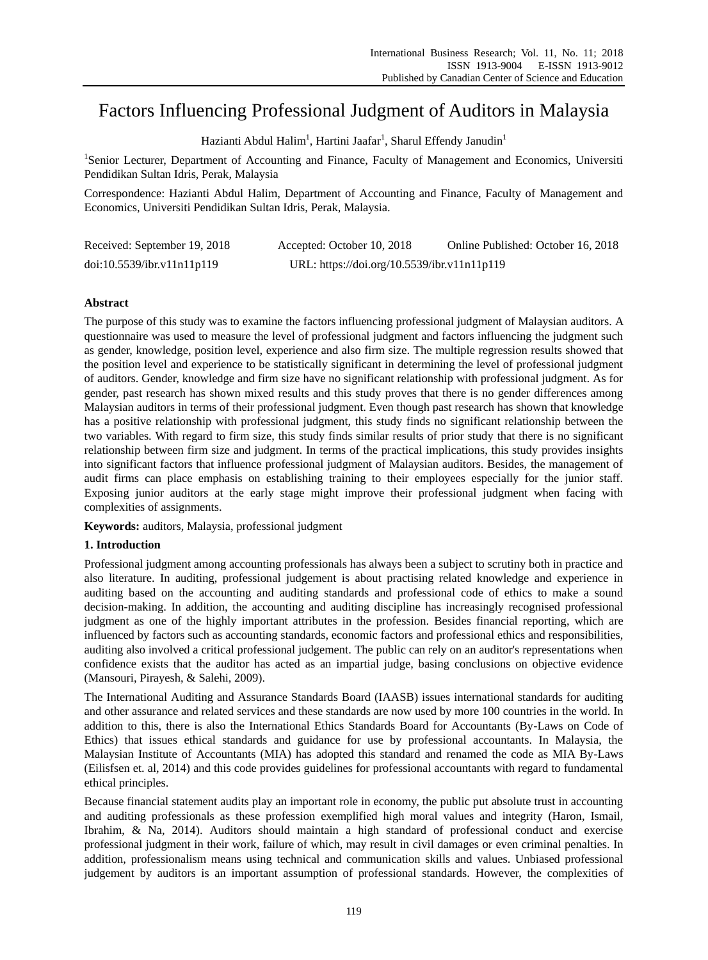# Factors Influencing Professional Judgment of Auditors in Malaysia

Hazianti Abdul Halim<sup>1</sup>, Hartini Jaafar<sup>1</sup>, Sharul Effendy Janudin<sup>1</sup>

<sup>1</sup>Senior Lecturer, Department of Accounting and Finance, Faculty of Management and Economics, Universiti Pendidikan Sultan Idris, Perak, Malaysia

Correspondence: Hazianti Abdul Halim, Department of Accounting and Finance, Faculty of Management and Economics, Universiti Pendidikan Sultan Idris, Perak, Malaysia.

| Received: September 19, 2018 | Accepted: October 10, 2018                  | Online Published: October 16, 2018 |
|------------------------------|---------------------------------------------|------------------------------------|
| doi:10.5539/ibr.v11n11p119   | URL: https://doi.org/10.5539/ibr.v11n11p119 |                                    |

# **Abstract**

The purpose of this study was to examine the factors influencing professional judgment of Malaysian auditors. A questionnaire was used to measure the level of professional judgment and factors influencing the judgment such as gender, knowledge, position level, experience and also firm size. The multiple regression results showed that the position level and experience to be statistically significant in determining the level of professional judgment of auditors. Gender, knowledge and firm size have no significant relationship with professional judgment. As for gender, past research has shown mixed results and this study proves that there is no gender differences among Malaysian auditors in terms of their professional judgment. Even though past research has shown that knowledge has a positive relationship with professional judgment, this study finds no significant relationship between the two variables. With regard to firm size, this study finds similar results of prior study that there is no significant relationship between firm size and judgment. In terms of the practical implications, this study provides insights into significant factors that influence professional judgment of Malaysian auditors. Besides, the management of audit firms can place emphasis on establishing training to their employees especially for the junior staff. Exposing junior auditors at the early stage might improve their professional judgment when facing with complexities of assignments.

**Keywords:** auditors, Malaysia, professional judgment

# **1. Introduction**

Professional judgment among accounting professionals has always been a subject to scrutiny both in practice and also literature. In auditing, professional judgement is about practising related knowledge and experience in auditing based on the accounting and auditing standards and professional code of ethics to make a sound decision-making. In addition, the accounting and auditing discipline has increasingly recognised professional judgment as one of the highly important attributes in the profession. Besides financial reporting, which are influenced by factors such as accounting standards, economic factors and professional ethics and responsibilities, auditing also involved a critical professional judgement. The public can rely on an auditor's representations when confidence exists that the auditor has acted as an impartial judge, basing conclusions on objective evidence (Mansouri, Pirayesh, & Salehi, 2009).

The International Auditing and Assurance Standards Board (IAASB) issues international standards for auditing and other assurance and related services and these standards are now used by more 100 countries in the world. In addition to this, there is also the International Ethics Standards Board for Accountants (By-Laws on Code of Ethics) that issues ethical standards and guidance for use by professional accountants. In Malaysia, the Malaysian Institute of Accountants (MIA) has adopted this standard and renamed the code as MIA By-Laws (Eilisfsen et. al, 2014) and this code provides guidelines for professional accountants with regard to fundamental ethical principles.

Because financial statement audits play an important role in economy, the public put absolute trust in accounting and auditing professionals as these profession exemplified high moral values and integrity (Haron, Ismail, Ibrahim, & Na, 2014). Auditors should maintain a high standard of professional conduct and exercise professional judgment in their work, failure of which, may result in civil damages or even criminal penalties. In addition, professionalism means using technical and communication skills and values. Unbiased professional judgement by auditors is an important assumption of professional standards. However, the complexities of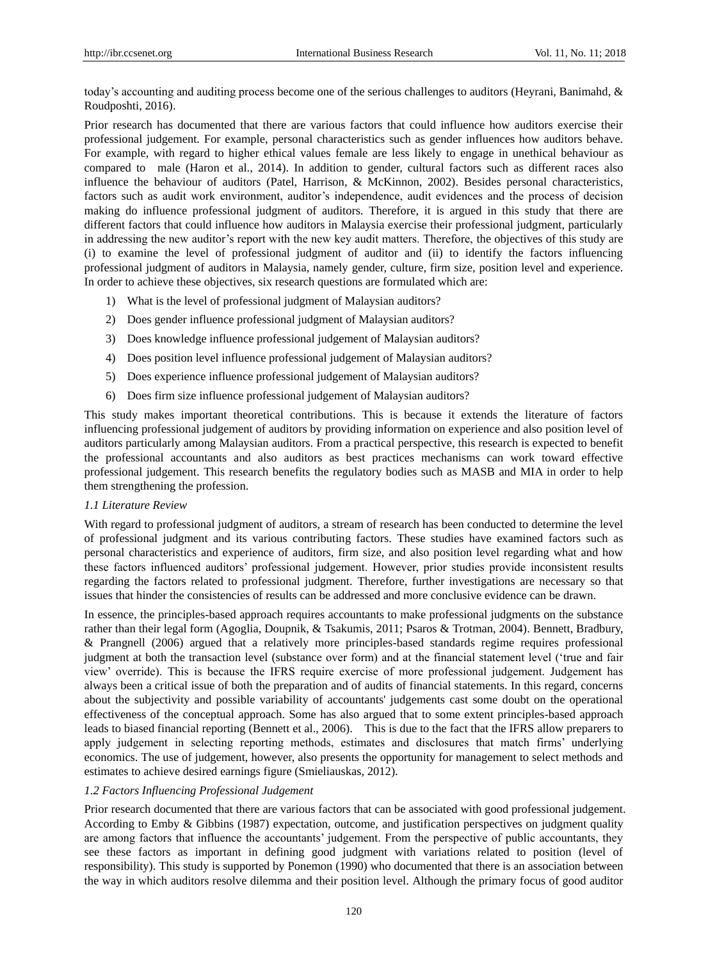today's accounting and auditing process become one of the serious challenges to auditors (Heyrani, Banimahd, & Roudposhti, 2016).

Prior research has documented that there are various factors that could influence how auditors exercise their professional judgement. For example, personal characteristics such as gender influences how auditors behave. For example, with regard to higher ethical values female are less likely to engage in unethical behaviour as compared to male (Haron et al., 2014). In addition to gender, cultural factors such as different races also influence the behaviour of auditors (Patel, Harrison, & McKinnon, 2002). Besides personal characteristics, factors such as audit work environment, auditor's independence, audit evidences and the process of decision making do influence professional judgment of auditors. Therefore, it is argued in this study that there are different factors that could influence how auditors in Malaysia exercise their professional judgment, particularly in addressing the new auditor's report with the new key audit matters. Therefore, the objectives of this study are (i) to examine the level of professional judgment of auditor and (ii) to identify the factors influencing professional judgment of auditors in Malaysia, namely gender, culture, firm size, position level and experience. In order to achieve these objectives, six research questions are formulated which are:

- 1) What is the level of professional judgment of Malaysian auditors?
- 2) Does gender influence professional judgment of Malaysian auditors?
- 3) Does knowledge influence professional judgement of Malaysian auditors?
- 4) Does position level influence professional judgement of Malaysian auditors?
- 5) Does experience influence professional judgement of Malaysian auditors?
- 6) Does firm size influence professional judgement of Malaysian auditors?

This study makes important theoretical contributions. This is because it extends the literature of factors influencing professional judgement of auditors by providing information on experience and also position level of auditors particularly among Malaysian auditors. From a practical perspective, this research is expected to benefit the professional accountants and also auditors as best practices mechanisms can work toward effective professional judgement. This research benefits the regulatory bodies such as MASB and MIA in order to help them strengthening the profession.

#### *1.1 Literature Review*

With regard to professional judgment of auditors, a stream of research has been conducted to determine the level of professional judgment and its various contributing factors. These studies have examined factors such as personal characteristics and experience of auditors, firm size, and also position level regarding what and how these factors influenced auditors" professional judgement. However, prior studies provide inconsistent results regarding the factors related to professional judgment. Therefore, further investigations are necessary so that issues that hinder the consistencies of results can be addressed and more conclusive evidence can be drawn.

In essence, the principles-based approach requires accountants to make professional judgments on the substance rather than their legal form (Agoglia, Doupnik, & Tsakumis, 2011; Psaros & Trotman, 2004). Bennett, Bradbury, & Prangnell (2006) argued that a relatively more principles-based standards regime requires professional judgment at both the transaction level (substance over form) and at the financial statement level ("true and fair view" override). This is because the IFRS require exercise of more professional judgement. Judgement has always been a critical issue of both the preparation and of audits of financial statements. In this regard, concerns about the subjectivity and possible variability of accountants' judgements cast some doubt on the operational effectiveness of the conceptual approach. Some has also argued that to some extent principles-based approach leads to biased financial reporting (Bennett et al., 2006). This is due to the fact that the IFRS allow preparers to apply judgement in selecting reporting methods, estimates and disclosures that match firms" underlying economics. The use of judgement, however, also presents the opportunity for management to select methods and estimates to achieve desired earnings figure (Smieliauskas, 2012).

## *1.2 Factors Influencing Professional Judgement*

Prior research documented that there are various factors that can be associated with good professional judgement. According to Emby & Gibbins (1987) expectation, outcome, and justification perspectives on judgment quality are among factors that influence the accountants' judgement. From the perspective of public accountants, they see these factors as important in defining good judgment with variations related to position (level of responsibility). This study is supported by Ponemon (1990) who documented that there is an association between the way in which auditors resolve dilemma and their position level. Although the primary focus of good auditor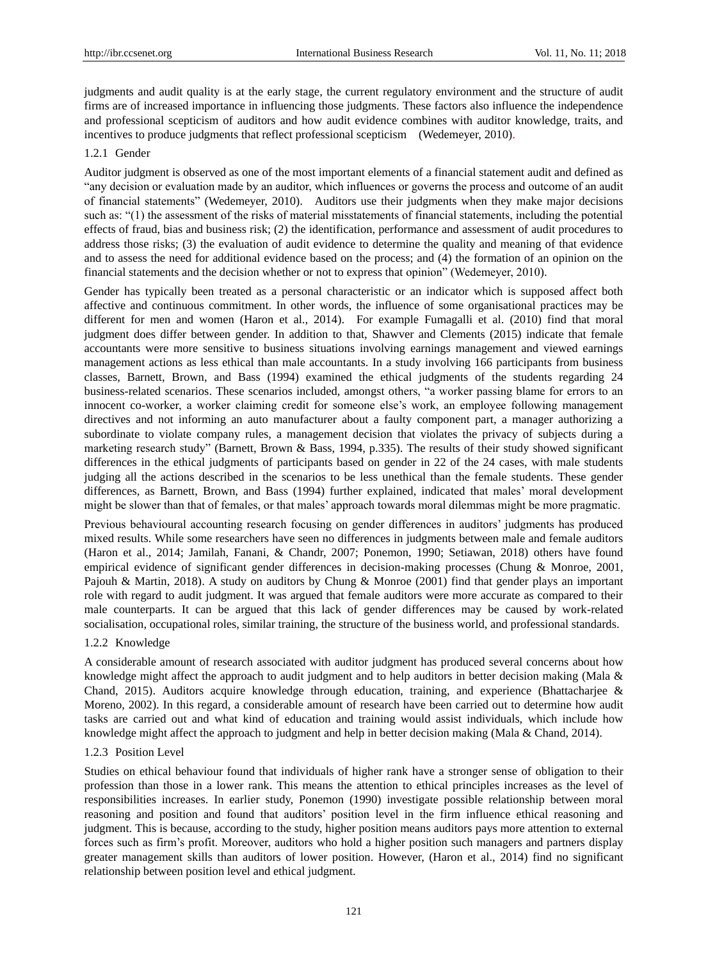judgments and audit quality is at the early stage, the current regulatory environment and the structure of audit firms are of increased importance in influencing those judgments. These factors also influence the independence and professional scepticism of auditors and how audit evidence combines with auditor knowledge, traits, and incentives to produce judgments that reflect professional scepticism (Wedemeyer, 2010).

#### 1.2.1 Gender

Auditor judgment is observed as one of the most important elements of a financial statement audit and defined as "any decision or evaluation made by an auditor, which influences or governs the process and outcome of an audit of financial statements" (Wedemeyer, 2010). Auditors use their judgments when they make major decisions such as: "(1) the assessment of the risks of material misstatements of financial statements, including the potential effects of fraud, bias and business risk; (2) the identification, performance and assessment of audit procedures to address those risks; (3) the evaluation of audit evidence to determine the quality and meaning of that evidence and to assess the need for additional evidence based on the process; and (4) the formation of an opinion on the financial statements and the decision whether or not to express that opinion" (Wedemeyer, 2010).

Gender has typically been treated as a personal characteristic or an indicator which is supposed affect both affective and continuous commitment. In other words, the influence of some organisational practices may be different for men and women (Haron et al., 2014). For example Fumagalli et al. (2010) find that moral judgment does differ between gender. In addition to that, Shawver and Clements (2015) indicate that female accountants were more sensitive to business situations involving earnings management and viewed earnings management actions as less ethical than male accountants. In a study involving 166 participants from business classes, Barnett, Brown, and Bass (1994) examined the ethical judgments of the students regarding 24 business-related scenarios. These scenarios included, amongst others, "a worker passing blame for errors to an innocent co-worker, a worker claiming credit for someone else"s work, an employee following management directives and not informing an auto manufacturer about a faulty component part, a manager authorizing a subordinate to violate company rules, a management decision that violates the privacy of subjects during a marketing research study" (Barnett, Brown & Bass, 1994, p.335). The results of their study showed significant differences in the ethical judgments of participants based on gender in 22 of the 24 cases, with male students judging all the actions described in the scenarios to be less unethical than the female students. These gender differences, as Barnett, Brown, and Bass (1994) further explained, indicated that males" moral development might be slower than that of females, or that males" approach towards moral dilemmas might be more pragmatic.

Previous behavioural accounting research focusing on gender differences in auditors" judgments has produced mixed results. While some researchers have seen no differences in judgments between male and female auditors (Haron et al., 2014; Jamilah, Fanani, & Chandr, 2007; Ponemon, 1990; Setiawan, 2018) others have found empirical evidence of significant gender differences in decision-making processes (Chung & Monroe, 2001, Pajouh & Martin, 2018). A study on auditors by Chung & Monroe (2001) find that gender plays an important role with regard to audit judgment. It was argued that female auditors were more accurate as compared to their male counterparts. It can be argued that this lack of gender differences may be caused by work-related socialisation, occupational roles, similar training, the structure of the business world, and professional standards.

#### 1.2.2 Knowledge

A considerable amount of research associated with auditor judgment has produced several concerns about how knowledge might affect the approach to audit judgment and to help auditors in better decision making (Mala & Chand, 2015). Auditors acquire knowledge through education, training, and experience (Bhattacharjee & Moreno, 2002). In this regard, a considerable amount of research have been carried out to determine how audit tasks are carried out and what kind of education and training would assist individuals, which include how knowledge might affect the approach to judgment and help in better decision making (Mala & Chand, 2014).

#### 1.2.3 Position Level

Studies on ethical behaviour found that individuals of higher rank have a stronger sense of obligation to their profession than those in a lower rank. This means the attention to ethical principles increases as the level of responsibilities increases. In earlier study, Ponemon (1990) investigate possible relationship between moral reasoning and position and found that auditors" position level in the firm influence ethical reasoning and judgment. This is because, according to the study, higher position means auditors pays more attention to external forces such as firm"s profit. Moreover, auditors who hold a higher position such managers and partners display greater management skills than auditors of lower position. However, (Haron et al., 2014) find no significant relationship between position level and ethical judgment.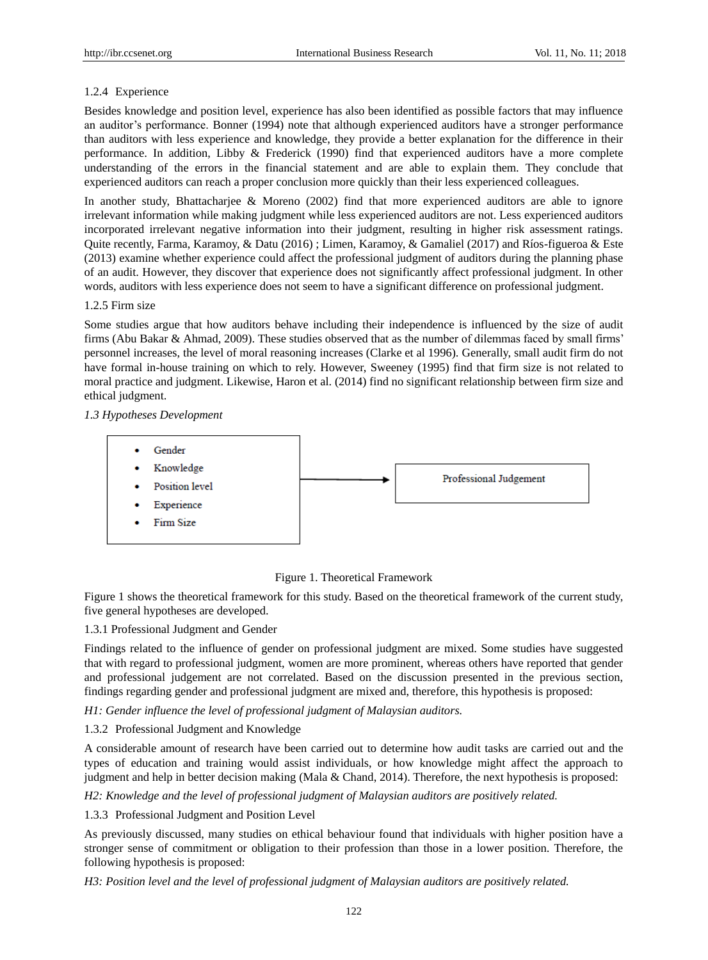## 1.2.4 Experience

Besides knowledge and position level, experience has also been identified as possible factors that may influence an auditor's performance. Bonner (1994) note that although experienced auditors have a stronger performance than auditors with less experience and knowledge, they provide a better explanation for the difference in their performance. In addition, Libby & Frederick (1990) find that experienced auditors have a more complete understanding of the errors in the financial statement and are able to explain them. They conclude that experienced auditors can reach a proper conclusion more quickly than their less experienced colleagues.

In another study, Bhattacharjee & Moreno (2002) find that more experienced auditors are able to ignore irrelevant information while making judgment while less experienced auditors are not. Less experienced auditors incorporated irrelevant negative information into their judgment, resulting in higher risk assessment ratings. Quite recently, Farma, Karamoy, & Datu (2016) ; Limen, Karamoy, & Gamaliel (2017) and R 6s-figueroa & Este (2013) examine whether experience could affect the professional judgment of auditors during the planning phase of an audit. However, they discover that experience does not significantly affect professional judgment. In other words, auditors with less experience does not seem to have a significant difference on professional judgment.

## 1.2.5 Firm size

Some studies argue that how auditors behave including their independence is influenced by the size of audit firms (Abu Bakar & Ahmad, 2009). These studies observed that as the number of dilemmas faced by small firms" personnel increases, the level of moral reasoning increases (Clarke et al 1996). Generally, small audit firm do not have formal in-house training on which to rely. However, Sweeney (1995) find that firm size is not related to moral practice and judgment. Likewise, Haron et al. (2014) find no significant relationship between firm size and ethical judgment.

## *1.3 Hypotheses Development*



## Figure 1. Theoretical Framework

Figure 1 shows the theoretical framework for this study. Based on the theoretical framework of the current study, five general hypotheses are developed.

## 1.3.1 Professional Judgment and Gender

Findings related to the influence of gender on professional judgment are mixed. Some studies have suggested that with regard to professional judgment, women are more prominent, whereas others have reported that gender and professional judgement are not correlated. Based on the discussion presented in the previous section, findings regarding gender and professional judgment are mixed and, therefore, this hypothesis is proposed:

*H1: Gender influence the level of professional judgment of Malaysian auditors.*

## 1.3.2 Professional Judgment and Knowledge

A considerable amount of research have been carried out to determine how audit tasks are carried out and the types of education and training would assist individuals, or how knowledge might affect the approach to judgment and help in better decision making (Mala & Chand, 2014). Therefore, the next hypothesis is proposed:

*H2: Knowledge and the level of professional judgment of Malaysian auditors are positively related.*

## 1.3.3 Professional Judgment and Position Level

As previously discussed, many studies on ethical behaviour found that individuals with higher position have a stronger sense of commitment or obligation to their profession than those in a lower position. Therefore, the following hypothesis is proposed:

*H3: Position level and the level of professional judgment of Malaysian auditors are positively related.*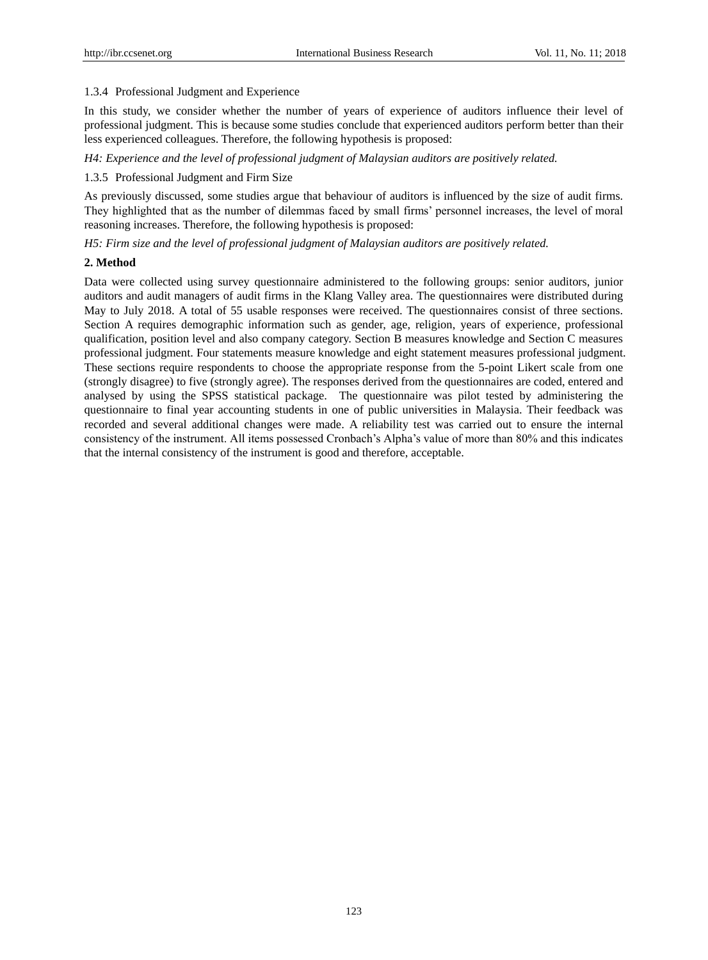## 1.3.4 Professional Judgment and Experience

In this study, we consider whether the number of years of experience of auditors influence their level of professional judgment. This is because some studies conclude that experienced auditors perform better than their less experienced colleagues. Therefore, the following hypothesis is proposed:

*H4: Experience and the level of professional judgment of Malaysian auditors are positively related.*

## 1.3.5 Professional Judgment and Firm Size

As previously discussed, some studies argue that behaviour of auditors is influenced by the size of audit firms. They highlighted that as the number of dilemmas faced by small firms" personnel increases, the level of moral reasoning increases. Therefore, the following hypothesis is proposed:

*H5: Firm size and the level of professional judgment of Malaysian auditors are positively related.*

#### **2. Method**

Data were collected using survey questionnaire administered to the following groups: senior auditors, junior auditors and audit managers of audit firms in the Klang Valley area. The questionnaires were distributed during May to July 2018. A total of 55 usable responses were received. The questionnaires consist of three sections. Section A requires demographic information such as gender, age, religion, years of experience, professional qualification, position level and also company category. Section B measures knowledge and Section C measures professional judgment. Four statements measure knowledge and eight statement measures professional judgment. These sections require respondents to choose the appropriate response from the 5-point Likert scale from one (strongly disagree) to five (strongly agree). The responses derived from the questionnaires are coded, entered and analysed by using the SPSS statistical package. The questionnaire was pilot tested by administering the questionnaire to final year accounting students in one of public universities in Malaysia. Their feedback was recorded and several additional changes were made. A reliability test was carried out to ensure the internal consistency of the instrument. All items possessed Cronbach"s Alpha"s value of more than 80% and this indicates that the internal consistency of the instrument is good and therefore, acceptable.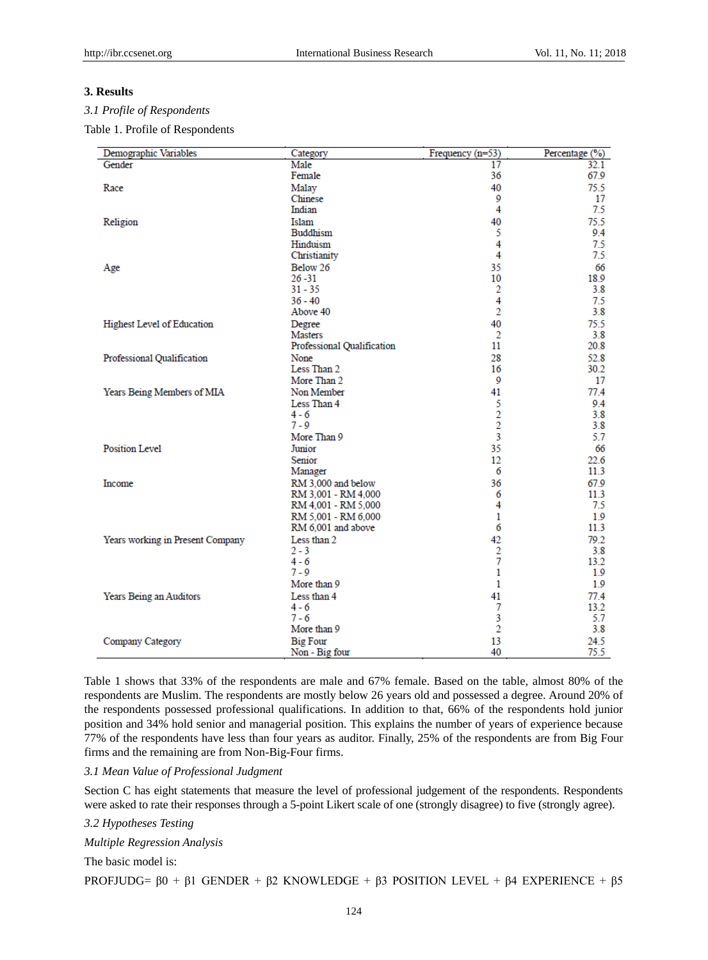#### **3. Results**

## *3.1 Profile of Respondents*

Table 1. Profile of Respondents

| Demographic Variables            | Category                   | Frequency (n=53) | Percentage (%) |
|----------------------------------|----------------------------|------------------|----------------|
| Gender                           | Male                       | 17               | 32.1           |
|                                  | Female                     | 36               | 67.9           |
| Race                             | Malay                      | 40               | 75.5           |
|                                  | Chinese                    | 9                | 17             |
|                                  | Indian                     | 4                | 7.5            |
| Religion                         | Islam                      | 40               | 75.5           |
|                                  | <b>Buddhism</b>            | 5                | 9.4            |
|                                  | Hinduism                   | 4                | 7.5            |
|                                  | Christianity               | 4                | 7.5            |
| Age                              | Below 26                   | 35               | 66             |
|                                  | $26 - 31$                  | 10               | 18.9           |
|                                  | $31 - 35$                  | 2                | 3.8            |
|                                  | $36 - 40$                  | 4                | 7.5            |
|                                  | Above 40                   | $\overline{2}$   | 3.8            |
| Highest Level of Education       | Degree                     | 40               | 75.5           |
|                                  | <b>Masters</b>             | 2                | 3.8            |
|                                  | Professional Qualification | 11               | 20.8           |
| Professional Qualification       | None                       | 28               | 52.8           |
|                                  | Less Than 2                | 16               | 30.2           |
|                                  | More Than 2                | 9                | 17             |
| Years Being Members of MIA       | Non Member                 | 41               | 77.4           |
|                                  | Less Than 4                | 5                | 9.4            |
|                                  | 4 - 6                      | $\overline{2}$   | 3.8            |
|                                  | $7 - 9$                    | $\overline{2}$   | 3.8            |
|                                  | More Than 9                | 3                | 5.7            |
| <b>Position Level</b>            | Junior                     | 35               | 66             |
|                                  | Senior                     | 12               | 22.6           |
|                                  | Manager                    | 6                | 11.3           |
| <b>Income</b>                    | RM 3,000 and below         | 36               | 67.9           |
|                                  | RM 3,001 - RM 4,000        | 6                | 11.3           |
|                                  | RM 4,001 - RM 5,000        | 4                | 7.5            |
|                                  | RM 5,001 - RM 6,000        | 1                | 1.9            |
|                                  | RM 6,001 and above         | 6                | 11.3           |
| Years working in Present Company | Less than 2                | 42               | 79.2           |
|                                  | $2 - 3$                    | $\overline{2}$   | 3.8            |
|                                  | 4 - 6                      | $\overline{7}$   | 13.2           |
|                                  | $7 - 9$                    | $\mathbf{1}$     | 1.9            |
|                                  | More than 9                | 1                | 1.9            |
| Years Being an Auditors          | Less than 4                | 41               | 77.4           |
|                                  | 4 - 6                      | 7                | 13.2           |
|                                  | $7 - 6$                    | 3                | 5.7            |
|                                  | More than 9                | $\overline{2}$   | 3.8            |
| Company Category                 | <b>Big Four</b>            | 13               | 24.5           |
|                                  | Non - Big four             | 40               | 75.5           |

Table 1 shows that 33% of the respondents are male and 67% female. Based on the table, almost 80% of the respondents are Muslim. The respondents are mostly below 26 years old and possessed a degree. Around 20% of the respondents possessed professional qualifications. In addition to that, 66% of the respondents hold junior position and 34% hold senior and managerial position. This explains the number of years of experience because 77% of the respondents have less than four years as auditor. Finally, 25% of the respondents are from Big Four firms and the remaining are from Non-Big-Four firms.

## *3.1 Mean Value of Professional Judgment*

Section C has eight statements that measure the level of professional judgement of the respondents. Respondents were asked to rate their responses through a 5-point Likert scale of one (strongly disagree) to five (strongly agree).

## *3.2 Hypotheses Testing*

*Multiple Regression Analysis*

The basic model is:

PROFJUDG=  $β0 + β1$  GENDER +  $β2$  KNOWLEDGE +  $β3$  POSITION LEVEL +  $β4$  EXPERIENCE +  $β5$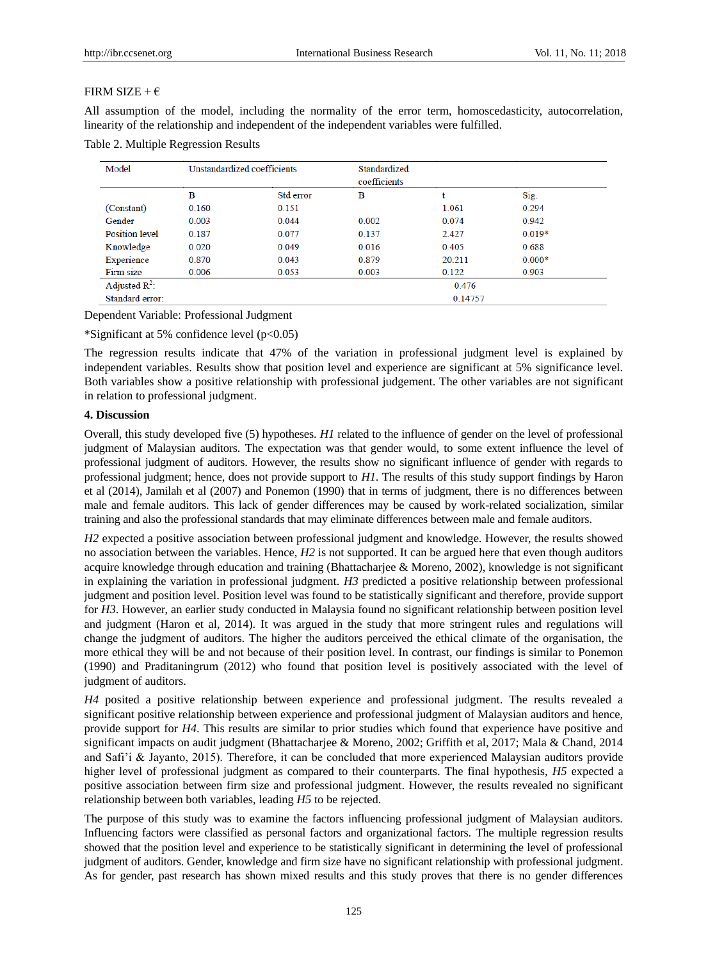#### FIRM SIZE +  $\epsilon$

All assumption of the model, including the normality of the error term, homoscedasticity, autocorrelation, linearity of the relationship and independent of the independent variables were fulfilled.

Table 2. Multiple Regression Results

| Model                 | Unstandardized coefficients |           | Standardized<br>coefficients |        |          |  |
|-----------------------|-----------------------------|-----------|------------------------------|--------|----------|--|
|                       | в                           | Std error | в                            |        | Sig.     |  |
| (Constant)            | 0.160                       | 0.151     |                              | 1.061  | 0.294    |  |
| Gender                | 0.003                       | 0.044     | 0.002                        | 0.074  | 0.942    |  |
| <b>Position level</b> | 0.187                       | 0.077     | 0.137                        | 2.427  | $0.019*$ |  |
| Knowledge             | 0.020                       | 0.049     | 0.016                        | 0.405  | 0.688    |  |
| Experience            | 0.870                       | 0.043     | 0.879                        | 20.211 | $0.000*$ |  |
| Firm size             | 0.006                       | 0.053     | 0.003                        | 0.122  | 0.903    |  |
| Adjusted $R^2$ :      |                             |           | 0.476                        |        |          |  |
| Standard error:       |                             |           | 0.14757                      |        |          |  |

Dependent Variable: Professional Judgment

\*Significant at 5% confidence level (p<0.05)

The regression results indicate that 47% of the variation in professional judgment level is explained by independent variables. Results show that position level and experience are significant at 5% significance level. Both variables show a positive relationship with professional judgement. The other variables are not significant in relation to professional judgment.

#### **4. Discussion**

Overall, this study developed five (5) hypotheses. *H1* related to the influence of gender on the level of professional judgment of Malaysian auditors. The expectation was that gender would, to some extent influence the level of professional judgment of auditors. However, the results show no significant influence of gender with regards to professional judgment; hence, does not provide support to *H1*. The results of this study support findings by Haron et al (2014), Jamilah et al (2007) and Ponemon (1990) that in terms of judgment, there is no differences between male and female auditors. This lack of gender differences may be caused by work-related socialization, similar training and also the professional standards that may eliminate differences between male and female auditors.

*H2* expected a positive association between professional judgment and knowledge. However, the results showed no association between the variables. Hence, *H2* is not supported. It can be argued here that even though auditors acquire knowledge through education and training (Bhattacharjee & Moreno, 2002), knowledge is not significant in explaining the variation in professional judgment. *H3* predicted a positive relationship between professional judgment and position level. Position level was found to be statistically significant and therefore, provide support for *H3*. However, an earlier study conducted in Malaysia found no significant relationship between position level and judgment (Haron et al, 2014). It was argued in the study that more stringent rules and regulations will change the judgment of auditors. The higher the auditors perceived the ethical climate of the organisation, the more ethical they will be and not because of their position level. In contrast, our findings is similar to Ponemon (1990) and Praditaningrum (2012) who found that position level is positively associated with the level of judgment of auditors.

*H4* posited a positive relationship between experience and professional judgment. The results revealed a significant positive relationship between experience and professional judgment of Malaysian auditors and hence, provide support for *H4*. This results are similar to prior studies which found that experience have positive and significant impacts on audit judgment (Bhattacharjee & Moreno, 2002; Griffith et al, 2017; Mala & Chand, 2014 and Safi'i & Jayanto, 2015). Therefore, it can be concluded that more experienced Malaysian auditors provide higher level of professional judgment as compared to their counterparts. The final hypothesis, *H5* expected a positive association between firm size and professional judgment. However, the results revealed no significant relationship between both variables, leading *H5* to be rejected.

The purpose of this study was to examine the factors influencing professional judgment of Malaysian auditors. Influencing factors were classified as personal factors and organizational factors. The multiple regression results showed that the position level and experience to be statistically significant in determining the level of professional judgment of auditors. Gender, knowledge and firm size have no significant relationship with professional judgment. As for gender, past research has shown mixed results and this study proves that there is no gender differences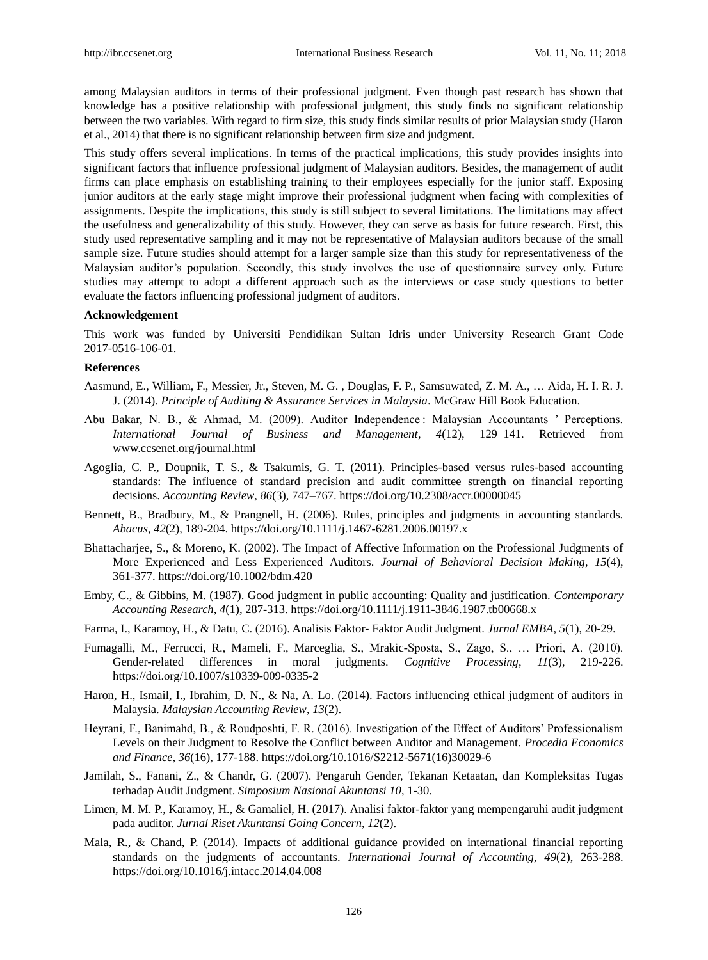among Malaysian auditors in terms of their professional judgment. Even though past research has shown that knowledge has a positive relationship with professional judgment, this study finds no significant relationship between the two variables. With regard to firm size, this study finds similar results of prior Malaysian study (Haron et al., 2014) that there is no significant relationship between firm size and judgment.

This study offers several implications. In terms of the practical implications, this study provides insights into significant factors that influence professional judgment of Malaysian auditors. Besides, the management of audit firms can place emphasis on establishing training to their employees especially for the junior staff. Exposing junior auditors at the early stage might improve their professional judgment when facing with complexities of assignments. Despite the implications, this study is still subject to several limitations. The limitations may affect the usefulness and generalizability of this study. However, they can serve as basis for future research. First, this study used representative sampling and it may not be representative of Malaysian auditors because of the small sample size. Future studies should attempt for a larger sample size than this study for representativeness of the Malaysian auditor's population. Secondly, this study involves the use of questionnaire survey only. Future studies may attempt to adopt a different approach such as the interviews or case study questions to better evaluate the factors influencing professional judgment of auditors.

#### **Acknowledgement**

This work was funded by Universiti Pendidikan Sultan Idris under University Research Grant Code 2017-0516-106-01.

#### **References**

- Aasmund, E., William, F., Messier, Jr., Steven, M. G. , Douglas, F. P., Samsuwated, Z. M. A., … Aida, H. I. R. J. J. (2014). *Principle of Auditing & Assurance Services in Malaysia*. McGraw Hill Book Education.
- Abu Bakar, N. B., & Ahmad, M. (2009). Auditor Independence : Malaysian Accountants " Perceptions. *International Journal of Business and Management*, *4*(12), 129–141. Retrieved from www.ccsenet.org/journal.html
- Agoglia, C. P., Doupnik, T. S., & Tsakumis, G. T. (2011). Principles-based versus rules-based accounting standards: The influence of standard precision and audit committee strength on financial reporting decisions. *Accounting Review*, *86*(3), 747–767. https://doi.org/10.2308/accr.00000045
- Bennett, B., Bradbury, M., & Prangnell, H. (2006). Rules, principles and judgments in accounting standards. *Abacus*, *42*(2), 189-204. https://doi.org/10.1111/j.1467-6281.2006.00197.x
- Bhattacharjee, S., & Moreno, K. (2002). The Impact of Affective Information on the Professional Judgments of More Experienced and Less Experienced Auditors. *Journal of Behavioral Decision Making*, *15*(4), 361-377. https://doi.org/10.1002/bdm.420
- Emby, C., & Gibbins, M. (1987). Good judgment in public accounting: Quality and justification. *Contemporary Accounting Research*, *4*(1), 287-313. https://doi.org/10.1111/j.1911-3846.1987.tb00668.x
- Farma, I., Karamoy, H., & Datu, C. (2016). Analisis Faktor- Faktor Audit Judgment. *Jurnal EMBA*, *5*(1), 20-29.
- Fumagalli, M., Ferrucci, R., Mameli, F., Marceglia, S., Mrakic-Sposta, S., Zago, S., … Priori, A. (2010). Gender-related differences in moral judgments. *Cognitive Processing*, *11*(3), 219-226. https://doi.org/10.1007/s10339-009-0335-2
- Haron, H., Ismail, I., Ibrahim, D. N., & Na, A. Lo. (2014). Factors influencing ethical judgment of auditors in Malaysia. *Malaysian Accounting Review*, *13*(2).
- Heyrani, F., Banimahd, B., & Roudposhti, F. R. (2016). Investigation of the Effect of Auditors" Professionalism Levels on their Judgment to Resolve the Conflict between Auditor and Management. *Procedia Economics and Finance*, *36*(16), 177-188. https://doi.org/10.1016/S2212-5671(16)30029-6
- Jamilah, S., Fanani, Z., & Chandr, G. (2007). Pengaruh Gender, Tekanan Ketaatan, dan Kompleksitas Tugas terhadap Audit Judgment. *Simposium Nasional Akuntansi 10*, 1-30.
- Limen, M. M. P., Karamoy, H., & Gamaliel, H. (2017). Analisi faktor-faktor yang mempengaruhi audit judgment pada auditor. *Jurnal Riset Akuntansi Going Concern*, *12*(2).
- Mala, R., & Chand, P. (2014). Impacts of additional guidance provided on international financial reporting standards on the judgments of accountants. *International Journal of Accounting*, *49*(2), 263-288. https://doi.org/10.1016/j.intacc.2014.04.008